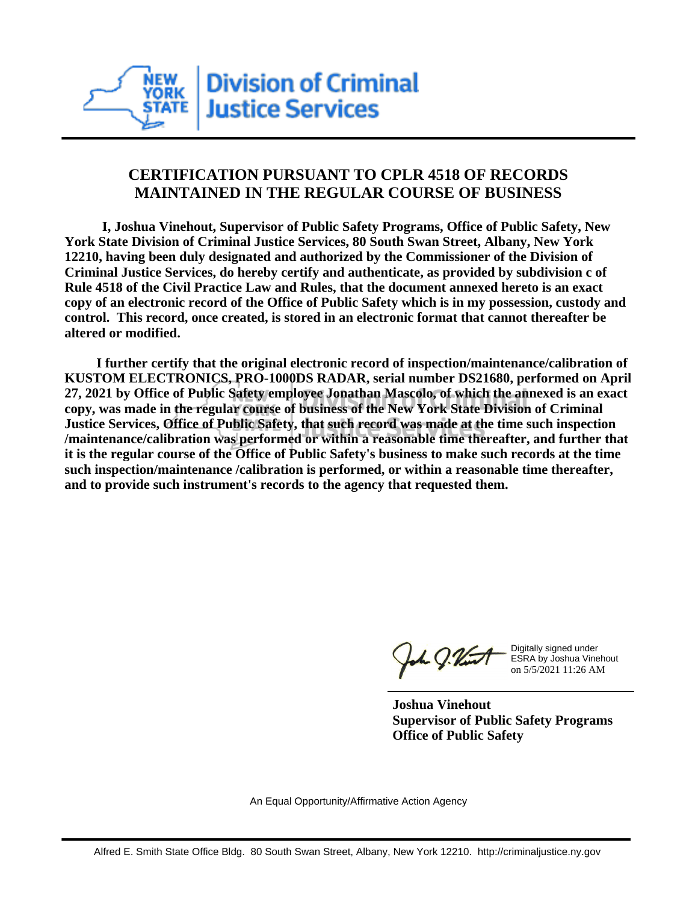

## **CERTIFICATION PURSUANT TO CPLR 4518 OF RECORDS MAINTAINED IN THE REGULAR COURSE OF BUSINESS**

 **I, Joshua Vinehout, Supervisor of Public Safety Programs, Office of Public Safety, New York State Division of Criminal Justice Services, 80 South Swan Street, Albany, New York 12210, having been duly designated and authorized by the Commissioner of the Division of Criminal Justice Services, do hereby certify and authenticate, as provided by subdivision c of Rule 4518 of the Civil Practice Law and Rules, that the document annexed hereto is an exact copy of an electronic record of the Office of Public Safety which is in my possession, custody and control. This record, once created, is stored in an electronic format that cannot thereafter be altered or modified.**

 **I further certify that the original electronic record of inspection/maintenance/calibration of KUSTOM ELECTRONICS, PRO-1000DS RADAR, serial number DS21680, performed on April 27, 2021 by Office of Public Safety employee Jonathan Mascolo, of which the annexed is an exact copy, was made in the regular course of business of the New York State Division of Criminal Justice Services, Office of Public Safety, that such record was made at the time such inspection /maintenance/calibration was performed or within a reasonable time thereafter, and further that it is the regular course of the Office of Public Safety's business to make such records at the time such inspection/maintenance /calibration is performed, or within a reasonable time thereafter, and to provide such instrument's records to the agency that requested them.**

the J. Vint

Digitally signed under ESRA by Joshua Vinehout on 5/5/2021 11:26 AM

**Joshua Vinehout Supervisor of Public Safety Programs Office of Public Safety**

An Equal Opportunity/Affirmative Action Agency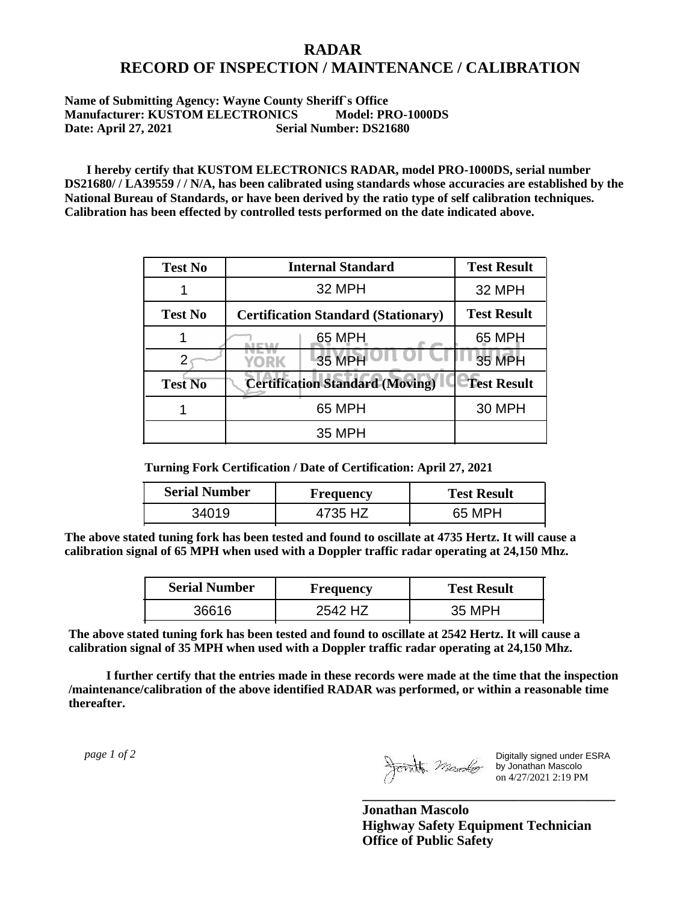## **RADAR RECORD OF INSPECTION / MAINTENANCE / CALIBRATION**

## **Name of Submitting Agency: Wayne County Sheriff`s Office Manufacturer: KUSTOM ELECTRONICS Model: PRO-1000DS Date: April 27, 2021 Serial Number: DS21680**

 **I hereby certify that KUSTOM ELECTRONICS RADAR, model PRO-1000DS, serial number DS21680/ / LA39559 / / N/A, has been calibrated using standards whose accuracies are established by the National Bureau of Standards, or have been derived by the ratio type of self calibration techniques. Calibration has been effected by controlled tests performed on the date indicated above.**

| <b>Test No</b> | <b>Internal Standard</b>                   | <b>Test Result</b> |
|----------------|--------------------------------------------|--------------------|
|                | 32 MPH                                     | 32 MPH             |
| <b>Test No</b> | <b>Certification Standard (Stationary)</b> | <b>Test Result</b> |
|                | 65 MPH                                     | 65 MPH             |
|                | 35 MPH<br>YORK                             | <b>35 MPH</b>      |
| <b>Test No</b> | <b>Certification Standard (Moving)</b>     | <b>Test Result</b> |
|                | 65 MPH                                     | <b>30 MPH</b>      |
|                | 35 MPH                                     |                    |

**Turning Fork Certification / Date of Certification: April 27, 2021**

| <b>Serial Number</b> | Frequency | <b>Test Result</b> |
|----------------------|-----------|--------------------|
| 34019.               | 4735 HZ   | 65 MPH             |

**The above stated tuning fork has been tested and found to oscillate at 4735 Hertz. It will cause a calibration signal of 65 MPH when used with a Doppler traffic radar operating at 24,150 Mhz.**

| <b>Serial Number</b> | Frequency | <b>Test Result</b> |
|----------------------|-----------|--------------------|
| 36616                | 2542 H7   | 35 MPH             |

**The above stated tuning fork has been tested and found to oscillate at 2542 Hertz. It will cause a calibration signal of 35 MPH when used with a Doppler traffic radar operating at 24,150 Mhz.**

 **I further certify that the entries made in these records were made at the time that the inspection /maintenance/calibration of the above identified RADAR was performed, or within a reasonable time thereafter.**

 *page 1 of 2* 

Digitally signed under ESRA by Jonathan Mascolo on 4/27/2021 2:19 PM

**Jonathan Mascolo Highway Safety Equipment Technician Office of Public Safety**

**\_\_\_\_\_\_\_\_\_\_\_\_\_\_\_\_\_\_\_\_\_\_\_\_\_\_\_\_\_\_\_\_\_\_\_\_\_**